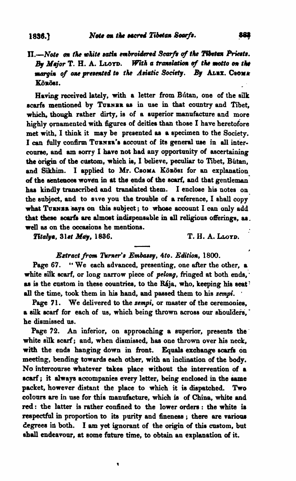II.-Note on the white satin embroidered Scarfs of the Tibetan Priests. *By Major T. H. A. LLOYD. With a translation of the motto on the margin of one presented to the Asiatic Society.* By **ALEX.** C80Mk Köröst.

Having received lately. with a letter from Biltan, one of the **silk**  scarfs mentioned by TURNER as in use in that country and Tibet, which, though rather dirty, is of a superior manufacture and more highly ornamented with figures of deities than those I have heretofore met with. I think it may be presented as a specimen to the Society. I can fully confirm TURNER's account of its general use in all intercourse, and am sorry I have not had any opportunity of ascertaining the origin of the custom, which is, I believe, peculiar to Tibet, Butan. and Sikhim. I applied to Mr. Csona Közösi for an explanation of the **dentencea** woven in at the ends **of** the **scarf,** and tbat gentleman' has kindly transcribed and translated them. I enclose his notes on the subject, and to save you the trouble of a reference. I shall copy the subject, and to save you the trouble or a reference, I shall copy<br>
what To says on this subject; to whose account I can only add<br>
that these scarfs are almost indispensable in all religious offerings, as<br>
well as on th that these scarfs are almost indispensable in all religious offerings, as. well **as** on the occasions he mentions.

*IITtalyr. 31ut* **May,** *1836.* **T. H.** A. LLOYD.

## *Etttactfrom* **firner's** *Embassy,* **4to.** *Edition, 1800.*

Page 67. "We each advanced, presenting, one after the other, a white silk scarf, or long narrow piece of *pelong*, fringed at both ends, **M is** the custom in these countries, to the Rbja, who, keeping **his seat?**  all the time, took them in his hand, and passed them to his *zempi*.

**Page 71.** We delivered to the *aempi,* or master of the ceremonies, a silk scarf for each of us, which being thrown across our shoulders. he dismissed **us.** 

Page 72. An inferior, on approaching a superior, presents the white silk scarf; and, when dismissed, has one thrown over his neck, with the ends hanging down in front. Equals exchange **scarfa** on meeting, bending towards each other, with an inclination of the body. No intercourse whatever **takes** place without the intervention of a scarf; it always accompanies every letter, being enclosed in the same packet, however distant the place to which it is dispatched. Two colours **are** in use for this manufacture, which is of China, white and red : the latter is rather confined to the lower orders : the white is respectful in proportion to its purity and fineness; there are various Cegrees in both. I am **yet** ignorant of the origin of this custom, but shall endeavour, at some future time, to obtain an explanation of it.

 $\bullet$